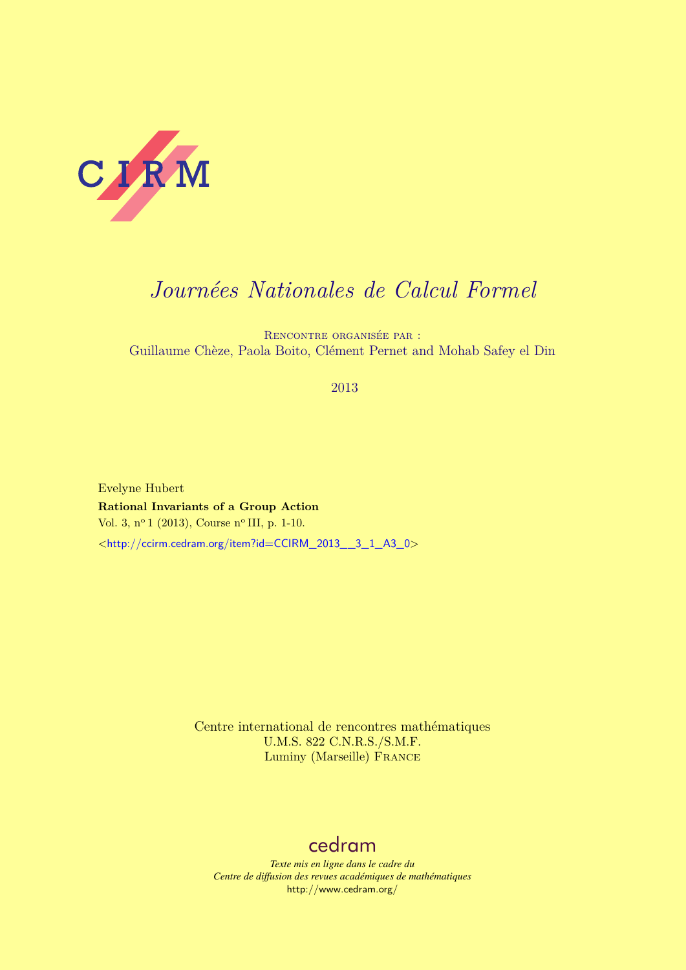

# *Journées Nationales de Calcul Formel*

Rencontre organisée par : Guillaume Chèze, Paola Boito, Clément Pernet and Mohab Safey el Din

# 2013

Evelyne Hubert **Rational Invariants of a Group Action** Vol. 3, nº 1 (2013), Course nº III, p. 1-10. <[http://ccirm.cedram.org/item?id=CCIRM\\_2013\\_\\_3\\_1\\_A3\\_0](http://ccirm.cedram.org/item?id=CCIRM_2013__3_1_A3_0)>

> Centre international de rencontres mathématiques U.M.S. 822 C.N.R.S./S.M.F. Luminy (Marseille) France

# [cedram](http://www.cedram.org/)

*Texte mis en ligne dans le cadre du Centre de diffusion des revues académiques de mathématiques* <http://www.cedram.org/>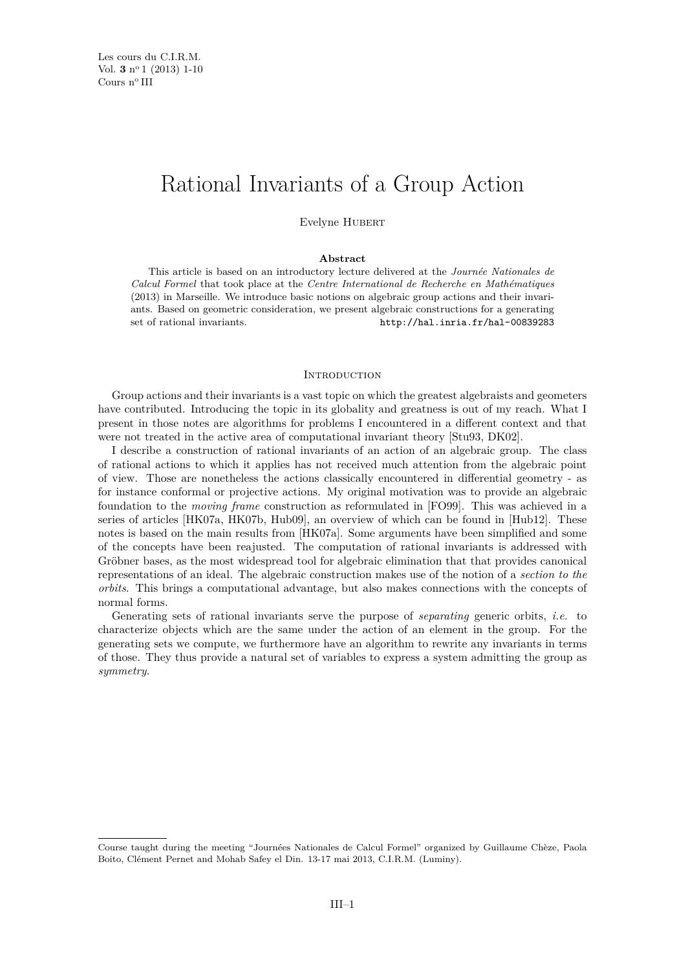# Rational Invariants of a Group Action

Evelyne Hubert

# **Abstract**

This article is based on an introductory lecture delivered at the *Journée Nationales de Calcul Formel* that took place at the *Centre International de Recherche en Mathématiques* (2013) in Marseille. We introduce basic notions on algebraic group actions and their invariants. Based on geometric consideration, we present algebraic constructions for a generating set of rational invariants. <http://hal.inria.fr/hal-00839283>

#### **INTRODUCTION**

Group actions and their invariants is a vast topic on which the greatest algebraists and geometers have contributed. Introducing the topic in its globality and greatness is out of my reach. What I present in those notes are algorithms for problems I encountered in a different context and that were not treated in the active area of computational invariant theory [\[Stu93,](#page-10-0) [DK02\]](#page-10-0).

I describe a construction of rational invariants of an action of an algebraic group. The class of rational actions to which it applies has not received much attention from the algebraic point of view. Those are nonetheless the actions classically encountered in differential geometry - as for instance conformal or projective actions. My original motivation was to provide an algebraic foundation to the *moving frame* construction as reformulated in [\[FO99\]](#page-10-0). This was achieved in a series of articles [\[HK07a,](#page-10-0) [HK07b,](#page-10-0) [Hub09\]](#page-10-0), an overview of which can be found in [\[Hub12\]](#page-10-0). These notes is based on the main results from [\[HK07a\]](#page-10-0). Some arguments have been simplified and some of the concepts have been reajusted. The computation of rational invariants is addressed with Gröbner bases, as the most widespread tool for algebraic elimination that that provides canonical representations of an ideal. The algebraic construction makes use of the notion of a *section to the orbits*. This brings a computational advantage, but also makes connections with the concepts of normal forms.

Generating sets of rational invariants serve the purpose of *separating* generic orbits, *i.e.* to characterize objects which are the same under the action of an element in the group. For the generating sets we compute, we furthermore have an algorithm to rewrite any invariants in terms of those. They thus provide a natural set of variables to express a system admitting the group as *symmetry*.

Course taught during the meeting "Journées Nationales de Calcul Formel" organized by Guillaume Chèze, Paola Boito, Clément Pernet and Mohab Safey el Din. 13-17 mai 2013, C.I.R.M. (Luminy).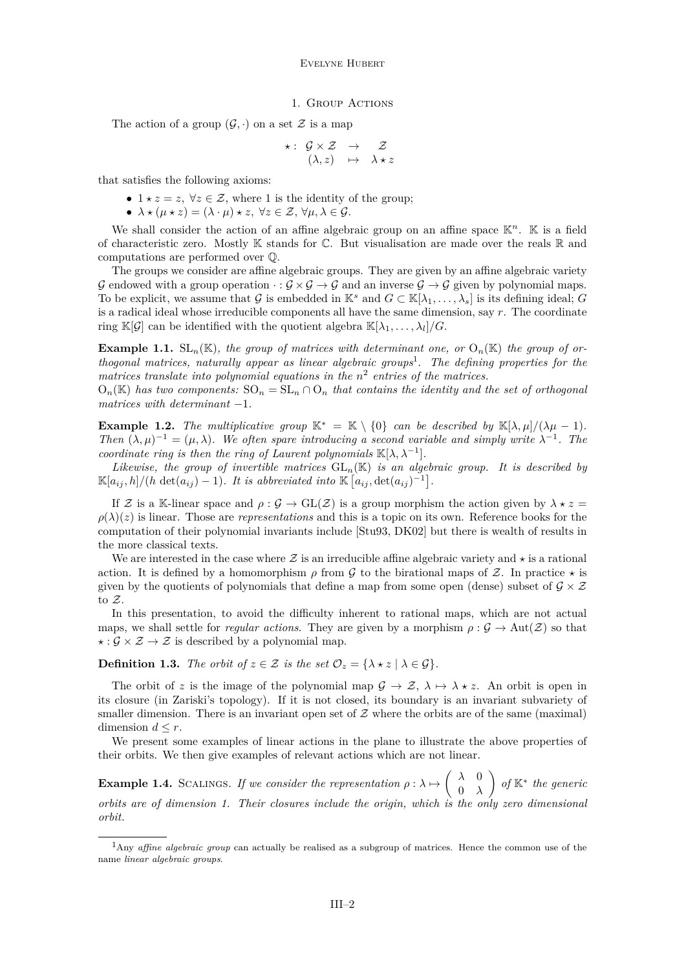#### 1. GROUP ACTIONS

<span id="page-2-0"></span>The action of a group  $(\mathcal{G}, \cdot)$  on a set  $\mathcal Z$  is a map

$$
\star: \begin{array}{ccc} {\cal G} \times {\cal Z} & \to & {\cal Z} \\ (\lambda, z) & \mapsto & \lambda \star z \end{array}
$$

that satisfies the following axioms:

- $1 \star z = z$ ,  $\forall z \in \mathcal{Z}$ , where 1 is the identity of the group;
- $\lambda \star (\mu \star z) = (\lambda \cdot \mu) \star z$ ,  $\forall z \in \mathcal{Z}, \forall \mu, \lambda \in \mathcal{G}$ .

We shall consider the action of an affine algebraic group on an affine space  $\mathbb{K}^n$ .  $\mathbb{K}$  is a field of characteristic zero. Mostly  $\mathbb K$  stands for  $\mathbb C$ . But visualisation are made over the reals  $\mathbb R$  and computations are performed over Q.

The groups we consider are affine algebraic groups. They are given by an affine algebraic variety G endowed with a group operation  $\cdot : \mathcal{G} \times \mathcal{G} \to \mathcal{G}$  and an inverse  $\mathcal{G} \to \mathcal{G}$  given by polynomial maps. To be explicit, we assume that G is embedded in K<sup>s</sup> and  $G \subset K[\lambda_1, \ldots, \lambda_s]$  is its defining ideal; G is a radical ideal whose irreducible components all have the same dimension, say *r*. The coordinate ring  $\mathbb{K}[\mathcal{G}]$  can be identified with the quotient algebra  $\mathbb{K}[\lambda_1, \ldots, \lambda_l]/G$ .

**Example 1.1.** SL<sub>n</sub>(K), the group of matrices with determinant one, or  $O_n(K)$  the group of or*thogonal matrices, naturally appear as linear algebraic groups*<sup>1</sup> *. The defining properties for the* matrices translate into polynomial equations in the  $n^2$  entries of the matrices.

 $O_n(K)$  has two components:  $SO_n = SL_n \cap O_n$  that contains the identity and the set of orthogonal *matrices with determinant* −1*.*

**Example 1.2.** *The multiplicative group*  $\mathbb{K}^* = \mathbb{K} \setminus \{0\}$  *can be described by*  $\mathbb{K}[\lambda, \mu]/(\lambda \mu - 1)$ *. Then*  $(\lambda, \mu)^{-1} = (\mu, \lambda)$ *. We often spare introducing a second variable and simply write*  $\lambda^{-1}$ *. The coordinate ring is then the ring of Laurent polynomials*  $\mathbb{K}[\lambda, \lambda^{-1}]$ *.* 

*Likewise, the group of invertible matrices*  $GL_n(\mathbb{K})$  *is an algebraic group. It is described by*  $\mathbb{K}[a_{ij}, h]/(h \det(a_{ij}) - 1)$ . It is abbreviated into  $\mathbb{K}[a_{ij}, \det(a_{ij})^{-1}]$ .

If Z is a K-linear space and  $\rho : \mathcal{G} \to GL(\mathcal{Z})$  is a group morphism the action given by  $\lambda * z =$  $\rho(\lambda)(z)$  is linear. Those are *representations* and this is a topic on its own. Reference books for the computation of their polynomial invariants include [\[Stu93,](#page-10-0) [DK02\]](#page-10-0) but there is wealth of results in the more classical texts.

We are interested in the case where  $\mathcal Z$  is an irreducible affine algebraic variety and  $\star$  is a rational action. It is defined by a homomorphism  $\rho$  from  $\mathcal G$  to the birational maps of  $\mathcal Z$ . In practice  $\star$  is given by the quotients of polynomials that define a map from some open (dense) subset of  $\mathcal{G} \times \mathcal{Z}$ to Z.

In this presentation, to avoid the difficulty inherent to rational maps, which are not actual maps, we shall settle for *regular actions*. They are given by a morphism  $\rho : \mathcal{G} \to \text{Aut}(\mathcal{Z})$  so that  $\star : \mathcal{G} \times \mathcal{Z} \rightarrow \mathcal{Z}$  is described by a polynomial map.

**Definition 1.3.** *The orbit of*  $z \in \mathcal{Z}$  *is the set*  $\mathcal{O}_z = \{ \lambda \star z \mid \lambda \in \mathcal{G} \}.$ 

The orbit of *z* is the image of the polynomial map  $\mathcal{G} \to \mathcal{Z}, \lambda \mapsto \lambda * z$ . An orbit is open in its closure (in Zariski's topology). If it is not closed, its boundary is an invariant subvariety of smaller dimension. There is an invariant open set of  $\mathcal Z$  where the orbits are of the same (maximal) dimension  $d \leq r$ .

We present some examples of linear actions in the plane to illustrate the above properties of their orbits. We then give examples of relevant actions which are not linear.

**Example 1.4.** SCALINGS. If we consider the representation  $\rho : \lambda \mapsto \begin{pmatrix} \lambda & 0 \\ 0 & \lambda \end{pmatrix}$ 0 *λ of* K<sup>∗</sup> *the generic orbits are of dimension 1. Their closures include the origin, which is the only zero dimensional orbit.*

<sup>1</sup>Any *affine algebraic group* can actually be realised as a subgroup of matrices. Hence the common use of the name *linear algebraic groups*.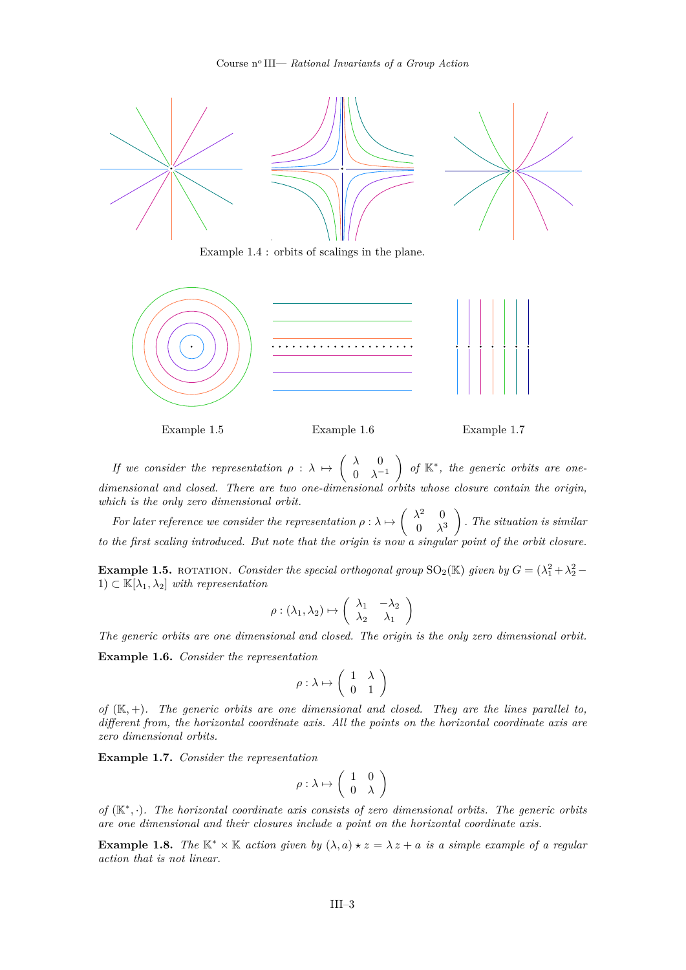<span id="page-3-0"></span>

Example [1.4](#page-2-0) : orbits of scalings in the plane.



Example 1.5 Example 1.6 Example 1.7

*If we consider the representation*  $\rho : \lambda \mapsto \begin{pmatrix} \lambda & 0 \\ 0 & \lambda \end{pmatrix}$  $0 \lambda^{-1}$  *of* K<sup>∗</sup> *, the generic orbits are onedimensional and closed. There are two one-dimensional orbits whose closure contain the origin, which is the only zero dimensional orbit.*

*For later reference we consider the representation*  $\rho : \lambda \mapsto \begin{pmatrix} \lambda^2 & 0 \\ 0 & \lambda^2 \end{pmatrix}$  $0 \lambda^3$  *. The situation is similar to the first scaling introduced. But note that the origin is now a singular point of the orbit closure.*

**Example 1.5.** ROTATION. *Consider the special orthogonal group*  $SO_2(\mathbb{K})$  *given by*  $G = (\lambda_1^2 + \lambda_2^2 - \lambda_1^2)$ 1) ⊂ K[*λ*1*, λ*2] *with representation*

$$
\rho : (\lambda_1, \lambda_2) \mapsto \left( \begin{array}{cc} \lambda_1 & -\lambda_2 \\ \lambda_2 & \lambda_1 \end{array} \right)
$$

*The generic orbits are one dimensional and closed. The origin is the only zero dimensional orbit.*

**Example 1.6.** *Consider the representation*

$$
\rho : \lambda \mapsto \left( \begin{array}{cc} 1 & \lambda \\ 0 & 1 \end{array} \right)
$$

*of* (K*,* +)*. The generic orbits are one dimensional and closed. They are the lines parallel to, different from, the horizontal coordinate axis. All the points on the horizontal coordinate axis are zero dimensional orbits.*

**Example 1.7.** *Consider the representation*

$$
\rho : \lambda \mapsto \left( \begin{array}{cc} 1 & 0 \\ 0 & \lambda \end{array} \right)
$$

*of* (K<sup>∗</sup> *,* ·)*. The horizontal coordinate axis consists of zero dimensional orbits. The generic orbits are one dimensional and their closures include a point on the horizontal coordinate axis.*

**Example 1.8.** *The*  $\mathbb{K}^* \times \mathbb{K}$  *action given by*  $(\lambda, a) \star z = \lambda z + a$  *is a simple example of a regular action that is not linear.*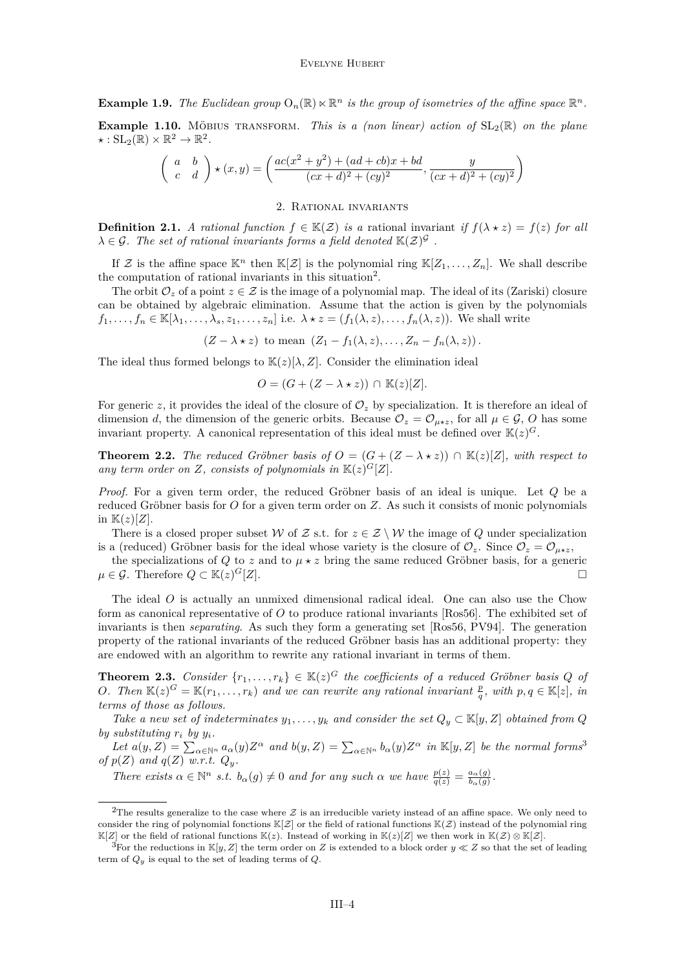<span id="page-4-0"></span>**Example 1.9.** *The Euclidean group*  $O_n(\mathbb{R}) \ltimes \mathbb{R}^n$  *is the group of isometries of the affine space*  $\mathbb{R}^n$ *.* 

**Example 1.10.** MÖBIUS TRANSFORM. This is a (non linear) action of  $SL_2(\mathbb{R})$  on the plane  $\star: SL_2(\mathbb{R}) \times \mathbb{R}^2 \to \mathbb{R}^2.$ 

$$
\begin{pmatrix} a & b \\ c & d \end{pmatrix} \star (x, y) = \begin{pmatrix} ac(x^2 + y^2) + (ad + cb)x + bd \\ (cx + d)^2 + (cy)^2 \end{pmatrix}, \frac{y}{(cx + d)^2 + (cy)^2} \end{pmatrix}
$$

## 2. Rational invariants

**Definition 2.1.** *A rational function*  $f \in K(Z)$  *is a* rational invariant *if*  $f(\lambda \star z) = f(z)$  *for all*  $\lambda \in \mathcal{G}$ . The set of rational invariants forms a field denoted  $\mathbb{K}(\mathcal{Z})^{\mathcal{G}}$ .

If Z is the affine space  $\mathbb{K}^n$  then  $\mathbb{K}[\mathcal{Z}]$  is the polynomial ring  $\mathbb{K}[Z_1,\ldots,Z_n]$ . We shall describe the computation of rational invariants in this situation<sup>2</sup>.

The orbit  $\mathcal{O}_z$  of a point  $z \in \mathcal{Z}$  is the image of a polynomial map. The ideal of its (Zariski) closure can be obtained by algebraic elimination. Assume that the action is given by the polynomials  $f_1, \ldots, f_n \in \mathbb{K}[\lambda_1, \ldots, \lambda_s, z_1, \ldots, z_n]$  i.e.  $\lambda \star z = (f_1(\lambda, z), \ldots, f_n(\lambda, z))$ . We shall write

 $(Z - \lambda * z)$  to mean  $(Z_1 - f_1(\lambda, z), \ldots, Z_n - f_n(\lambda, z))$ .

The ideal thus formed belongs to  $\mathbb{K}(z)[\lambda, Z]$ . Consider the elimination ideal

$$
O = (G + (Z - \lambda * z)) \cap \mathbb{K}(z)[Z].
$$

For generic *z*, it provides the ideal of the closure of  $\mathcal{O}_z$  by specialization. It is therefore an ideal of dimension *d*, the dimension of the generic orbits. Because  $\mathcal{O}_z = \mathcal{O}_{\mu \star z}$ , for all  $\mu \in \mathcal{G}$ , *O* has some invariant property. A canonical representation of this ideal must be defined over  $\mathbb{K}(z)^G$ .

**Theorem 2.2.** *The reduced Gröbner basis of*  $O = (G + (Z - \lambda * z)) \cap \mathbb{K}(z)[Z]$ *, with respect to* any term order on Z, consists of polynomials in  $\mathbb{K}(z)^G[Z]$ .

*Proof.* For a given term order, the reduced Gröbner basis of an ideal is unique. Let *Q* be a reduced Gröbner basis for *O* for a given term order on *Z*. As such it consists of monic polynomials in  $\mathbb{K}(z)[Z].$ 

There is a closed proper subset W of Z s.t. for  $z \in \mathcal{Z} \setminus \mathcal{W}$  the image of Q under specialization is a (reduced) Gröbner basis for the ideal whose variety is the closure of  $\mathcal{O}_z$ . Since  $\mathcal{O}_z = \mathcal{O}_{\mu \star z}$ ,

the specializations of *Q* to *z* and to  $\mu \star z$  bring the same reduced Gröbner basis, for a generic *µ* ∈ *G*. Therefore  $Q \subset \mathbb{K}(z)^G[Z]$ .  $G[Z]$ .

The ideal *O* is actually an unmixed dimensional radical ideal. One can also use the Chow form as canonical representative of *O* to produce rational invariants [\[Ros56\]](#page-10-0). The exhibited set of invariants is then *separating*. As such they form a generating set [\[Ros56,](#page-10-0) [PV94\]](#page-10-0). The generation property of the rational invariants of the reduced Gröbner basis has an additional property: they are endowed with an algorithm to rewrite any rational invariant in terms of them.

**Theorem 2.3.** *Consider*  $\{r_1, \ldots, r_k\} \in \mathbb{K}(z)^G$  *the coefficients of a reduced Gröbner basis*  $Q$  *of O*. Then  $\mathbb{K}(z)^G = \mathbb{K}(r_1, \ldots, r_k)$  and we can rewrite any rational invariant  $\frac{p}{q}$ , with  $p, q \in \mathbb{K}[z]$ , in *terms of those as follows.*

*Take a new set of indeterminates*  $y_1, \ldots, y_k$  *and consider the set*  $Q_y \subset \mathbb{K}[y, Z]$  *obtained from*  $Q$ *by substituting*  $r_i$  *by*  $y_i$ *.* 

Let  $a(y, Z) = \sum_{\alpha \in \mathbb{N}^n} a_{\alpha}(y) Z^{\alpha}$  and  $b(y, Z) = \sum_{\alpha \in \mathbb{N}^n} b_{\alpha}(y) Z^{\alpha}$  in  $\mathbb{K}[y, Z]$  be the normal forms<sup>3</sup> *of*  $p(Z)$  *and*  $q(Z)$  *w.r.t.*  $Q_y$ *.* 

*There exists*  $\alpha \in \mathbb{N}^n$  *s.t.*  $b_{\alpha}(g) \neq 0$  *and for any such*  $\alpha$  *we have*  $\frac{p(z)}{q(z)} = \frac{a_{\alpha}(g)}{b_{\alpha}(g)}$  $\frac{a_{\alpha}(g)}{b_{\alpha}(g)}$ .

<sup>&</sup>lt;sup>2</sup>The results generalize to the case where  $\mathcal Z$  is an irreducible variety instead of an affine space. We only need to consider the ring of polynomial fonctions  $\mathbb{K}[Z]$  or the field of rational functions  $\mathbb{K}(Z)$  instead of the polynomial ring  $\mathbb{K}[Z]$  or the field of rational functions  $\mathbb{K}(z)$ . Instead of working in  $\mathbb{K}(z)[Z]$  we then work in  $\mathbb{K}(Z) \otimes \mathbb{K}[Z]$ .

<sup>&</sup>lt;sup>3</sup>For the reductions in  $\mathbb{K}[y, Z]$  the term order on *Z* is extended to a block order  $y \ll Z$  so that the set of leading term of *Qy* is equal to the set of leading terms of *Q*.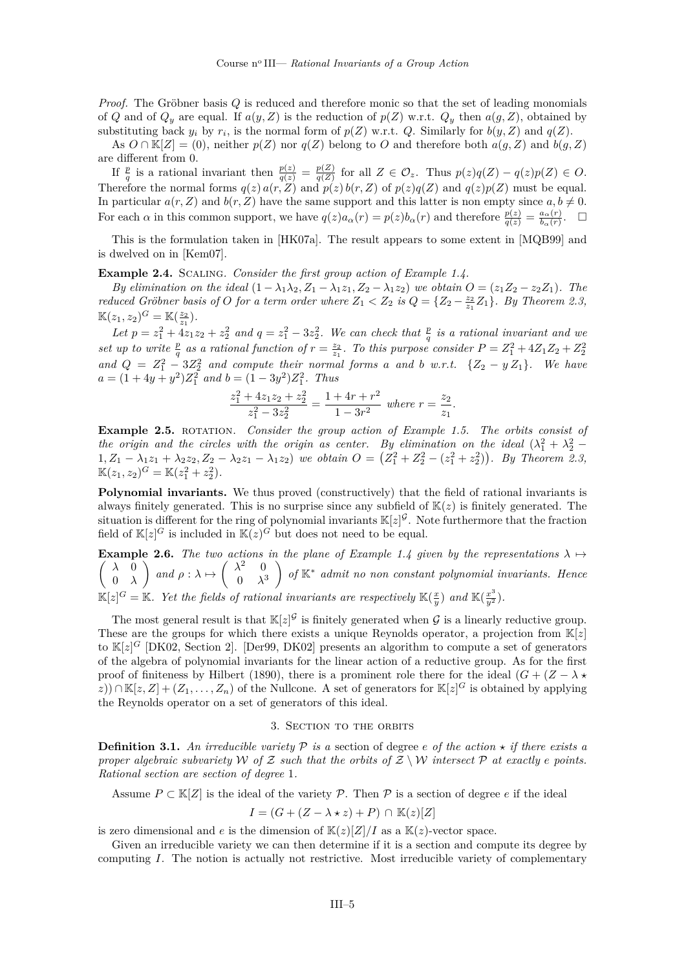<span id="page-5-0"></span>*Proof.* The Gröbner basis *Q* is reduced and therefore monic so that the set of leading monomials of *Q* and of  $Q_y$  are equal. If  $a(y, Z)$  is the reduction of  $p(Z)$  w.r.t.  $Q_y$  then  $a(g, Z)$ , obtained by substituting back  $y_i$  by  $r_i$ , is the normal form of  $p(Z)$  w.r.t.  $Q$ . Similarly for  $b(y, Z)$  and  $q(Z)$ .

As  $O \cap K[Z] = (0)$ , neither  $p(Z)$  nor  $q(Z)$  belong to  $O$  and therefore both  $a(g, Z)$  and  $b(g, Z)$ are different from 0.

If  $\frac{p}{q}$  is a rational invariant then  $\frac{p(z)}{q(z)} = \frac{p(Z)}{q(Z)}$  $\frac{p(Z)}{q(Z)}$  for all  $Z \in \mathcal{O}_z$ . Thus  $p(z)q(Z) - q(z)p(Z) \in O$ . Therefore the normal forms  $q(z) a(r, Z)$  and  $p(z) b(r, Z)$  of  $p(z) q(Z)$  and  $q(z) p(Z)$  must be equal. In particular  $a(r, Z)$  and  $b(r, Z)$  have the same support and this latter is non empty since  $a, b \neq 0$ . For each  $\alpha$  in this common support, we have  $q(z)a_{\alpha}(r) = p(z)b_{\alpha}(r)$  and therefore  $\frac{p(z)}{q(z)} = \frac{a_{\alpha}(r)}{b_{\alpha}(r)}$  $\frac{a_{\alpha}(r)}{b_{\alpha}(r)}$ .  $\Box$ 

This is the formulation taken in [\[HK07a\]](#page-10-0). The result appears to some extent in [\[MQB99\]](#page-10-0) and is dwelved on in [\[Kem07\]](#page-10-0).

**Example 2.4.** Scaling*. Consider the first group action of Example [1.4.](#page-2-0)*

*By elimination on the ideal*  $(1 - \lambda_1 \lambda_2, Z_1 - \lambda_1 z_1, Z_2 - \lambda_1 z_2)$  *we obtain*  $O = (z_1 Z_2 - z_2 Z_1)$ *. The reduced Gröbner basis of O for a term order where*  $Z_1 < Z_2$  *is*  $Q = \{Z_2 - \frac{z_2}{z_1}Z_1\}$ *. By Theorem [2.3,](#page-4-0)*  $\mathbb{K}(z_1, z_2)^G = \mathbb{K}(\frac{z_2}{z_1}).$ 

 $\begin{array}{l} \n\mathcal{L}(x, y) = x_1 \cdot \mathcal{L}(x, y) = 2x_1 \cdot \mathcal{L}(x, y) = 2x_1 \cdot \mathcal{L}(x, y) = 2x_1 \cdot \mathcal{L}(x, y) = 2x_1 \cdot \mathcal{L}(x, y) = 2x_1 \cdot \mathcal{L}(x, y) = 2x_1 \cdot \mathcal{L}(x, y) = 2x_1 \cdot \mathcal{L}(x, y) = 2x_1 \cdot \mathcal{L}(x, y) = 2x_1 \cdot \mathcal{L}(x, y) = 2x_1 \cdot \mathcal{L}(x, y) = 2x_$ set up to write  $\frac{p}{q}$  as a rational function of  $r = \frac{z_2}{z_1}$ . To this purpose consider  $P = Z_1^2 + 4Z_1Z_2 + Z_2^2$ *and*  $Q = Z_1^2 - 3Z_2^2$  *and compute their normal forms a and b w.r.t.*  $\{Z_2 - y Z_1\}$ *. We have*  $a = (1 + 4y + y^2)Z_1^2$  *and*  $b = (1 - 3y^2)Z_1^2$ . *Thus* 

$$
\frac{z_1^2 + 4z_1z_2 + z_2^2}{z_1^2 - 3z_2^2} = \frac{1 + 4r + r^2}{1 - 3r^2}
$$
 where  $r = \frac{z_2}{z_1}$ .

**Example 2.5.** ROTATION. *Consider the group action of Example [1.5.](#page-3-0) The orbits consist of the origin and the circles with the origin as center. By elimination on the ideal*  $(\lambda_1^2 + \lambda_2^2 1, Z_1 - \lambda_1 z_1 + \lambda_2 z_2, Z_2 - \lambda_2 z_1 - \lambda_1 z_2)$  we obtain  $O = (Z_1^2 + Z_2^2 - (z_1^2 + z_2^2))$ . By Theorem [2.3,](#page-4-0)  $\mathbb{K}(z_1, z_2)^G = \mathbb{K}(z_1^2 + z_2^2).$ 

**Polynomial invariants.** We thus proved (constructively) that the field of rational invariants is always finitely generated. This is no surprise since any subfield of  $K(z)$  is finitely generated. The situation is different for the ring of polynomial invariants  $\mathbb{K}[z]^{\mathcal{G}}$ . Note furthermore that the fraction field of  $\mathbb{K}[z]^G$  is included in  $\mathbb{K}(z)^G$  but does not need to be equal.

**Example 2.6.** The two actions in the plane of Example [1.4](#page-2-0) given by the representations  $\lambda \mapsto$  *λ* 0 0 *λ*  $\bigg\}$  *and*  $\rho : \lambda \mapsto \begin{pmatrix} \lambda^2 & 0 \\ 0 & \lambda^2 \end{pmatrix}$  $0 \lambda^3$  *of* K<sup>∗</sup> *admit no non constant polynomial invariants. Hence*  $\mathbb{K}[z]$ <sup>*G*</sup> =  $\mathbb{K}$ *. Yet the fields of rational invariants are respectively*  $\mathbb{K}(\frac{x}{y})$  *and*  $\mathbb{K}(\frac{x^3}{y^2})$ *.* 

The most general result is that  $\mathbb{K}[z]^{\mathcal{G}}$  is finitely generated when  $\mathcal{G}$  is a linearly reductive group. These are the groups for which there exists a unique Reynolds operator, a projection from  $\mathbb{K}[z]$ to  $\mathbb{K}[z]^G$  [\[DK02,](#page-10-0) Section 2]. [\[Der99,](#page-10-0) [DK02\]](#page-10-0) presents an algorithm to compute a set of generators of the algebra of polynomial invariants for the linear action of a reductive group. As for the first proof of finiteness by Hilbert (1890), there is a prominent role there for the ideal  $(G + (Z - \lambda)^2)$ *z*)) ∩  $\mathbb{K}[z, Z] + (Z_1, \ldots, Z_n)$  of the Nullcone. A set of generators for  $\mathbb{K}[z]$ <sup>*G*</sup> is obtained by applying the Reynolds operator on a set of generators of this ideal.

### 3. Section to the orbits

**Definition 3.1.** An irreducible variety  $P$  is a section of degree *e* of the action  $\star$  if there exists a *proper algebraic subvariety* W of Z such that the orbits of  $Z \setminus W$  intersect P at exactly *e* points. *Rational section are section of degree* 1*.*

Assume  $P \subset \mathbb{K}[Z]$  is the ideal of the variety  $\mathcal{P}$ . Then  $\mathcal{P}$  is a section of degree *e* if the ideal

$$
I = (G + (Z - \lambda \star z) + P) \cap \mathbb{K}(z)[Z]
$$

is zero dimensional and *e* is the dimension of  $\mathbb{K}(z)[Z]/I$  as a  $\mathbb{K}(z)$ -vector space.

Given an irreducible variety we can then determine if it is a section and compute its degree by computing *I*. The notion is actually not restrictive. Most irreducible variety of complementary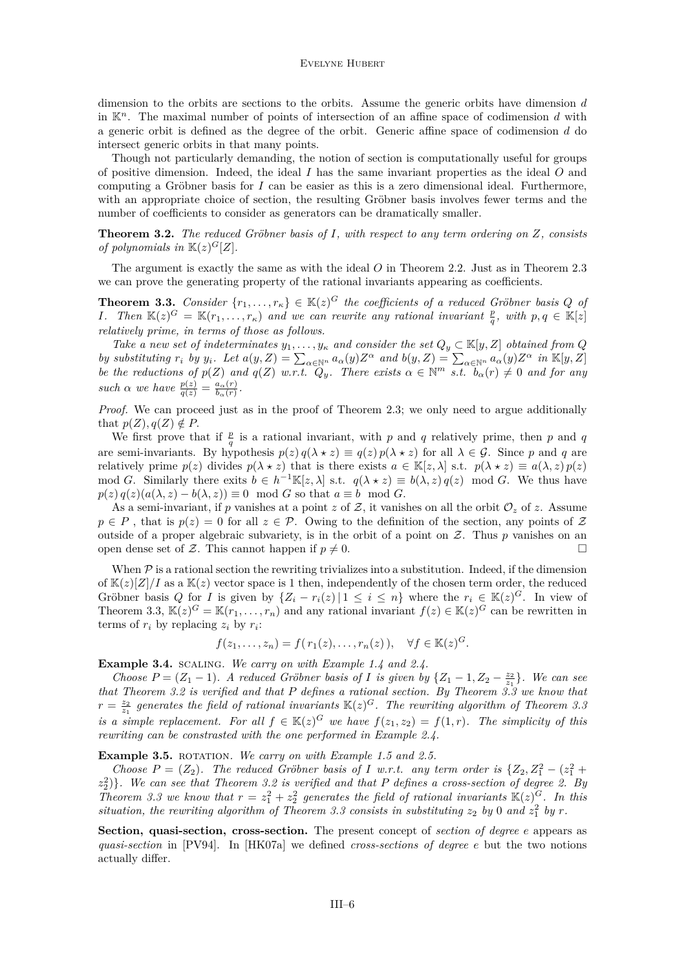<span id="page-6-0"></span>dimension to the orbits are sections to the orbits. Assume the generic orbits have dimension *d* in K*n*. The maximal number of points of intersection of an affine space of codimension *d* with a generic orbit is defined as the degree of the orbit. Generic affine space of codimension *d* do intersect generic orbits in that many points.

Though not particularly demanding, the notion of section is computationally useful for groups of positive dimension. Indeed, the ideal *I* has the same invariant properties as the ideal *O* and computing a Gröbner basis for *I* can be easier as this is a zero dimensional ideal. Furthermore, with an appropriate choice of section, the resulting Gröbner basis involves fewer terms and the number of coefficients to consider as generators can be dramatically smaller.

**Theorem 3.2.** *The reduced Gröbner basis of I, with respect to any term ordering on Z, consists of polynomials in*  $\mathbb{K}(z)^G[Z]$ *.* 

The argument is exactly the same as with the ideal *O* in Theorem [2.2.](#page-4-0) Just as in Theorem [2.3](#page-4-0) we can prove the generating property of the rational invariants appearing as coefficients.

**Theorem 3.3.** *Consider*  $\{r_1, \ldots, r_{\kappa}\} \in \mathbb{K}(z)^G$  *the coefficients of a reduced Gröbner basis Q of I. Then*  $\mathbb{K}(z)^G = \mathbb{K}(r_1, \ldots, r_{\kappa})$  *and we can rewrite any rational invariant*  $\frac{p}{q}$ *, with*  $p, q \in \mathbb{K}[z]$ *relatively prime, in terms of those as follows.*

*Take a new set of indeterminates*  $y_1, \ldots, y_k$  *and consider the set*  $Q_y \subset \mathbb{K}[y, Z]$  *obtained from*  $Q$ by substituting  $r_i$  by  $y_i$ . Let  $a(y, Z) = \sum_{\alpha \in \mathbb{N}^n} a_{\alpha}(y) Z^{\alpha}$  and  $b(y, Z) = \sum_{\alpha \in \mathbb{N}^n} a_{\alpha}(y) Z^{\alpha}$  in  $\mathbb{K}[y, Z]$ *be the reductions of*  $p(Z)$  *and*  $q(Z)$  *w.r.t.*  $Q_y$ *. There exists*  $\alpha \in \mathbb{N}^m$  *s.t.*  $b_{\alpha}(r) \neq 0$  *and for any such α we have*  $\frac{p(z)}{q(z)} = \frac{a_{\alpha}(r)}{b_{\alpha}(r)}$  $\frac{a_{\alpha}(r)}{b_{\alpha}(r)}$ .

Proof. We can proceed just as in the proof of Theorem [2.3;](#page-4-0) we only need to argue additionally that  $p(Z), q(Z) \notin P$ .

We first prove that if  $\frac{p}{q}$  is a rational invariant, with *p* and *q* relatively prime, then *p* and *q* are semi-invariants. By hypothesis  $p(z) q(\lambda \star z) \equiv q(z) p(\lambda \star z)$  for all  $\lambda \in \mathcal{G}$ . Since *p* and *q* are relatively prime  $p(z)$  divides  $p(\lambda \star z)$  that is there exists  $a \in \mathbb{K}[z, \lambda]$  s.t.  $p(\lambda \star z) \equiv a(\lambda, z) p(z)$ mod *G*. Similarly there exits  $b \in h^{-1}\mathbb{K}[z,\lambda]$  s.t.  $q(\lambda \star z) \equiv b(\lambda, z) q(z) \mod G$ . We thus have  $p(z) q(z) (a(\lambda, z) - b(\lambda, z)) \equiv 0 \mod G$  so that  $a \equiv b \mod G$ .

As a semi-invariant, if p vanishes at a point z of Z, it vanishes on all the orbit  $\mathcal{O}_z$  of z. Assume  $p \in P$ , that is  $p(z) = 0$  for all  $z \in \mathcal{P}$ . Owing to the definition of the section, any points of Z outside of a proper algebraic subvariety, is in the orbit of a point on Z. Thus *p* vanishes on an open dense set of Z. This cannot happen if  $p \neq 0$ .

When  $P$  is a rational section the rewriting trivializes into a substitution. Indeed, if the dimension of  $\mathbb{K}(z)[Z]/I$  as a  $\mathbb{K}(z)$  vector space is 1 then, independently of the chosen term order, the reduced Gröbner basis *Q* for *I* is given by  $\{Z_i - r_i(z) | 1 \leq i \leq n\}$  where the  $r_i \in \mathbb{K}(z)^G$ . In view of Theorem 3.3,  $\mathbb{K}(z)^G = \mathbb{K}(r_1,\ldots,r_n)$  and any rational invariant  $f(z) \in \mathbb{K}(z)^G$  can be rewritten in terms of  $r_i$  by replacing  $z_i$  by  $r_i$ :

$$
f(z_1,\ldots,z_n)=f(r_1(z),\ldots,r_n(z)),\quad\forall f\in\mathbb{K}(z)^G.
$$

**Example 3.4.** scaling*. We carry on with Example [1.4](#page-2-0) and [2.4.](#page-5-0)*

*Choose*  $P = (Z_1 - 1)$ *. A reduced Gröbner basis of I is given by*  $\{Z_1 - 1, Z_2 - \frac{z_2}{z_1}\}$ *. We can see that Theorem 3.2 is verified and that P defines a rational section. By Theorem 3.3 we know that*  $r = \frac{z_2}{z_1}$  generates the field of rational invariants  $\mathbb{K}(z)^G$ . The rewriting algorithm of Theorem 3.5 *is a simple replacement. For all*  $f \in K(z)^G$  *we have*  $f(z_1, z_2) = f(1, r)$ *. The simplicity of this rewriting can be constrasted with the one performed in Example [2.4.](#page-5-0)*

**Example 3.5.** ROTATION. We carry on with Example [1.5](#page-3-0) and [2.5.](#page-5-0)

*Choose*  $P = (Z_2)$ *. The reduced Gröbner basis of I w.r.t. any term order is*  $\{Z_2, Z_1^2 - (z_1^2 + z_2^2)$ *z* 2 2 )}*. We can see that Theorem 3.2 is verified and that P defines a cross-section of degree 2. By Theorem* 3.3 we know that  $r = z_1^2 + z_2^2$  generates the field of rational invariants  $\mathbb{K}(z)^G$ *. In this situation, the rewriting algorithm of Theorem 3.3 consists in substituting*  $z_2$  by 0 and  $z_1^2$  by r.

**Section, quasi-section, cross-section.** The present concept of *section of degree e* appears as *quasi-section* in [\[PV94\]](#page-10-0). In [\[HK07a\]](#page-10-0) we defined *cross-sections of degree e* but the two notions actually differ.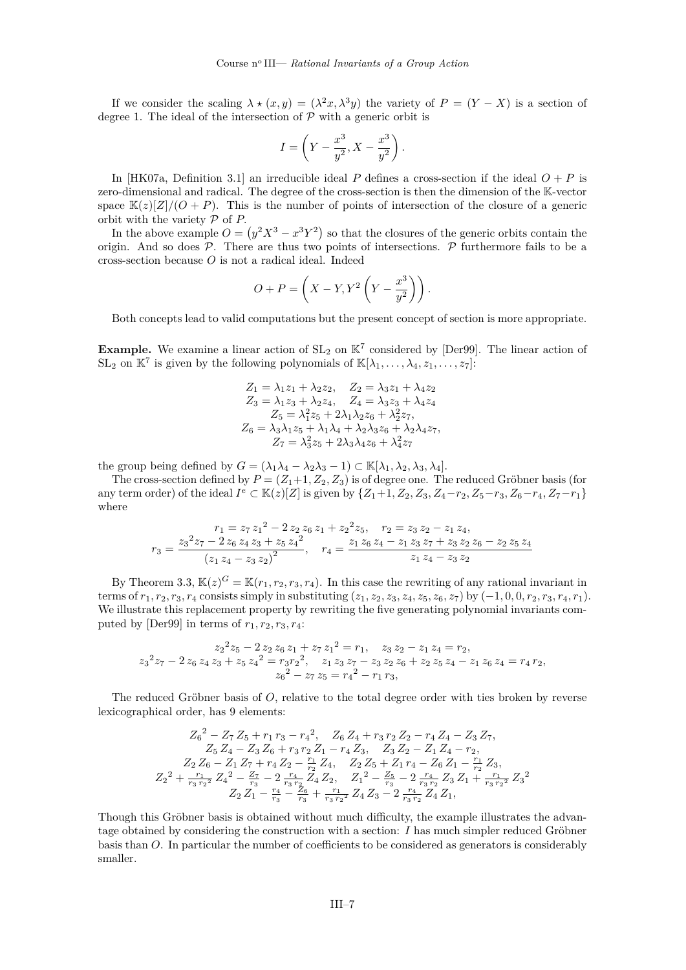If we consider the scaling  $\lambda \star (x, y) = (\lambda^2 x, \lambda^3 y)$  the variety of  $P = (Y - X)$  is a section of degree 1. The ideal of the intersection of  $P$  with a generic orbit is

$$
I=\left(Y-\frac{x^3}{y^2},X-\frac{x^3}{y^2}\right).
$$

In [\[HK07a,](#page-10-0) Definition 3.1] an irreducible ideal *P* defines a cross-section if the ideal  $O + P$  is zero-dimensional and radical. The degree of the cross-section is then the dimension of the K-vector space  $\mathbb{K}(z)[Z]/(O+P)$ . This is the number of points of intersection of the closure of a generic orbit with the variety P of *P*.

In the above example  $O = (y^2 X^3 - x^3 Y^2)$  so that the closures of the generic orbits contain the origin. And so does  $\overline{P}$ . There are thus two points of intersections.  $\overline{P}$  furthermore fails to be a cross-section because *O* is not a radical ideal. Indeed

$$
O + P = \left(X - Y, Y^2 \left(Y - \frac{x^3}{y^2}\right)\right).
$$

Both concepts lead to valid computations but the present concept of section is more appropriate.

**Example.** We examine a linear action of  $SL_2$  on  $K^7$  considered by [\[Der99\]](#page-10-0). The linear action of  $SL_2$  on  $\mathbb{K}^7$  is given by the following polynomials of  $\mathbb{K}[\lambda_1, \ldots, \lambda_4, z_1, \ldots, z_7]$ :

$$
Z_1 = \lambda_1 z_1 + \lambda_2 z_2, \quad Z_2 = \lambda_3 z_1 + \lambda_4 z_2 Z_3 = \lambda_1 z_3 + \lambda_2 z_4, \quad Z_4 = \lambda_3 z_3 + \lambda_4 z_4 Z_5 = \lambda_1^2 z_5 + 2\lambda_1 \lambda_2 z_6 + \lambda_2^2 z_7 Z_6 = \lambda_3 \lambda_1 z_5 + \lambda_1 \lambda_4 + \lambda_2 \lambda_3 z_6 + \lambda_2 \lambda_4 z_7 Z_7 = \lambda_3^2 z_5 + 2\lambda_3 \lambda_4 z_6 + \lambda_4^2 z_7
$$

the group being defined by  $G = (\lambda_1 \lambda_4 - \lambda_2 \lambda_3 - 1) \subset \mathbb{K}[\lambda_1, \lambda_2, \lambda_3, \lambda_4].$ 

The cross-section defined by  $P = (Z_1 + 1, Z_2, Z_3)$  is of degree one. The reduced Gröbner basis (for any term order) of the ideal  $I^e \subset \mathbb{K}(z)[Z]$  is given by  $\{Z_1+1, Z_2, Z_3, Z_4-r_2, Z_5-r_3, Z_6-r_4, Z_7-r_1\}$ where

$$
r_1 = z_7 z_1^2 - 2 z_2 z_6 z_1 + z_2^2 z_5, \quad r_2 = z_3 z_2 - z_1 z_4,
$$
  

$$
r_3 = \frac{z_3^2 z_7 - 2 z_6 z_4 z_3 + z_5 z_4^2}{(z_1 z_4 - z_3 z_2)^2}, \quad r_4 = \frac{z_1 z_6 z_4 - z_1 z_3 z_7 + z_3 z_2 z_6 - z_2 z_5 z_4}{z_1 z_4 - z_3 z_2}
$$

By Theorem [3.3,](#page-6-0)  $\mathbb{K}(z)^G = \mathbb{K}(r_1, r_2, r_3, r_4)$ . In this case the rewriting of any rational invariant in terms of  $r_1, r_2, r_3, r_4$  consists simply in substituting  $(z_1, z_2, z_3, z_4, z_5, z_6, z_7)$  by  $(-1, 0, 0, r_2, r_3, r_4, r_1)$ . We illustrate this replacement property by rewriting the five generating polynomial invariants com-puted by [\[Der99\]](#page-10-0) in terms of  $r_1, r_2, r_3, r_4$ :

$$
z_2^2 z_5 - 2 z_2 z_6 z_1 + z_7 z_1^2 = r_1, \quad z_3 z_2 - z_1 z_4 = r_2,
$$
  

$$
z_3^2 z_7 - 2 z_6 z_4 z_3 + z_5 z_4^2 = r_3 r_2^2, \quad z_1 z_3 z_7 - z_3 z_2 z_6 + z_2 z_5 z_4 - z_1 z_6 z_4 = r_4 r_2,
$$
  

$$
z_6^2 - z_7 z_5 = r_4^2 - r_1 r_3,
$$

The reduced Gröbner basis of *O*, relative to the total degree order with ties broken by reverse lexicographical order, has 9 elements:

$$
Z_6^2 - Z_7 Z_5 + r_1 r_3 - r_4^2, \quad Z_6 Z_4 + r_3 r_2 Z_2 - r_4 Z_4 - Z_3 Z_7,
$$
  
\n
$$
Z_5 Z_4 - Z_3 Z_6 + r_3 r_2 Z_1 - r_4 Z_3, \quad Z_3 Z_2 - Z_1 Z_4 - r_2,
$$
  
\n
$$
Z_2 Z_6 - Z_1 Z_7 + r_4 Z_2 - \frac{r_1}{r_2} Z_4, \quad Z_2 Z_5 + Z_1 r_4 - Z_6 Z_1 - \frac{r_1}{r_2} Z_3,
$$
  
\n
$$
Z_2^2 + \frac{r_1}{r_3 r_2^2} Z_4^2 - \frac{Z_7}{r_3} - 2 \frac{r_4}{r_3 r_2} Z_4 Z_2, \quad Z_1^2 - \frac{Z_5}{r_3} - 2 \frac{r_4}{r_3 r_2} Z_3 Z_1 + \frac{r_1}{r_3 r_2^2} Z_3^2
$$
  
\n
$$
Z_2 Z_1 - \frac{r_4}{r_3} - \frac{Z_6}{r_3} + \frac{r_1}{r_3 r_2^2} Z_4 Z_3 - 2 \frac{r_4}{r_3 r_2} Z_4 Z_1,
$$

Though this Gröbner basis is obtained without much difficulty, the example illustrates the advantage obtained by considering the construction with a section: *I* has much simpler reduced Gröbner basis than *O*. In particular the number of coefficients to be considered as generators is considerably smaller.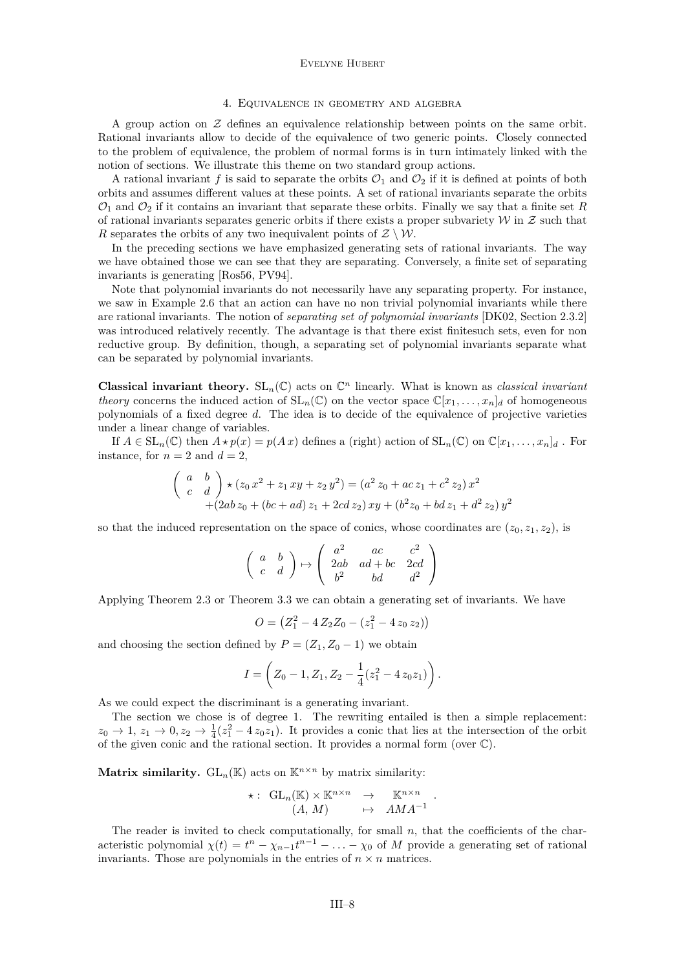#### Evelyne Hubert

### 4. Equivalence in geometry and algebra

A group action on  $\mathcal Z$  defines an equivalence relationship between points on the same orbit. Rational invariants allow to decide of the equivalence of two generic points. Closely connected to the problem of equivalence, the problem of normal forms is in turn intimately linked with the notion of sections. We illustrate this theme on two standard group actions.

A rational invariant  $f$  is said to separate the orbits  $\mathcal{O}_1$  and  $\mathcal{O}_2$  if it is defined at points of both orbits and assumes different values at these points. A set of rational invariants separate the orbits  $\mathcal{O}_1$  and  $\mathcal{O}_2$  if it contains an invariant that separate these orbits. Finally we say that a finite set R of rational invariants separates generic orbits if there exists a proper subvariety  $W$  in  $Z$  such that *R* separates the orbits of any two inequivalent points of  $\mathcal{Z} \setminus \mathcal{W}$ .

In the preceding sections we have emphasized generating sets of rational invariants. The way we have obtained those we can see that they are separating. Conversely, a finite set of separating invariants is generating [\[Ros56,](#page-10-0) [PV94\]](#page-10-0).

Note that polynomial invariants do not necessarily have any separating property. For instance, we saw in Example [2.6](#page-5-0) that an action can have no non trivial polynomial invariants while there are rational invariants. The notion of *separating set of polynomial invariants* [\[DK02,](#page-10-0) Section 2.3.2] was introduced relatively recently. The advantage is that there exist finitesuch sets, even for non reductive group. By definition, though, a separating set of polynomial invariants separate what can be separated by polynomial invariants.

**Classical invariant theory.**  $SL_n(\mathbb{C})$  acts on  $\mathbb{C}^n$  linearly. What is known as *classical invariant theory* concerns the induced action of  $SL_n(\mathbb{C})$  on the vector space  $\mathbb{C}[x_1,\ldots,x_n]_d$  of homogeneous polynomials of a fixed degree *d*. The idea is to decide of the equivalence of projective varieties under a linear change of variables.

If  $A \in SL_n(\mathbb{C})$  then  $A \star p(x) = p(Ax)$  defines a (right) action of  $SL_n(\mathbb{C})$  on  $\mathbb{C}[x_1, \ldots, x_n]_d$ . For instance, for  $n = 2$  and  $d = 2$ ,

$$
\begin{pmatrix} a & b \ c & d \end{pmatrix} \star (z_0 x^2 + z_1 xy + z_2 y^2) = (a^2 z_0 + ac z_1 + c^2 z_2) x^2
$$
  
+ (2ab z<sub>0</sub> + (bc + ad) z<sub>1</sub> + 2cd z<sub>2</sub>) xy + (b<sup>2</sup> z<sub>0</sub> + bd z<sub>1</sub> + d<sup>2</sup> z<sub>2</sub>) y<sup>2</sup>

so that the induced representation on the space of conics, whose coordinates are  $(z_0, z_1, z_2)$ , is

$$
\left(\begin{array}{cc} a & b \\ c & d \end{array}\right) \mapsto \left(\begin{array}{ccc} a^2 & ac & c^2 \\ 2ab & ad+bc & 2cd \\ b^2 & bd & d^2 \end{array}\right)
$$

Applying Theorem [2.3](#page-4-0) or Theorem [3.3](#page-6-0) we can obtain a generating set of invariants. We have

$$
O = (Z_1^2 - 4 Z_2 Z_0 - (z_1^2 - 4 z_0 z_2))
$$

and choosing the section defined by  $P = (Z_1, Z_0 - 1)$  we obtain

$$
I = \left( Z_0 - 1, Z_1, Z_2 - \frac{1}{4} (z_1^2 - 4 z_0 z_1) \right).
$$

As we could expect the discriminant is a generating invariant.

The section we chose is of degree 1. The rewriting entailed is then a simple replacement:  $z_0 \to 1$ ,  $z_1 \to 0$ ,  $z_2 \to \frac{1}{4}(z_1^2 - 4 z_0 z_1)$ . It provides a conic that lies at the intersection of the orbit of the given conic and the rational section. It provides a normal form (over  $\mathbb{C}$ ).

**Matrix similarity.**  $GL_n(\mathbb{K})$  acts on  $\mathbb{K}^{n \times n}$  by matrix similarity:

$$
\star: \begin{array}{rcl} \mathrm{GL}_n(\mathbb{K}) \times \mathbb{K}^{n \times n} & \to & \mathbb{K}^{n \times n} \\ (A, M) & \mapsto & AMA^{-1} \end{array}.
$$

The reader is invited to check computationally, for small  $n$ , that the coefficients of the characteristic polynomial  $\chi(t) = t^n - \chi_{n-1}t^{n-1} - \ldots - \chi_0$  of *M* provide a generating set of rational invariants. Those are polynomials in the entries of  $n \times n$  matrices.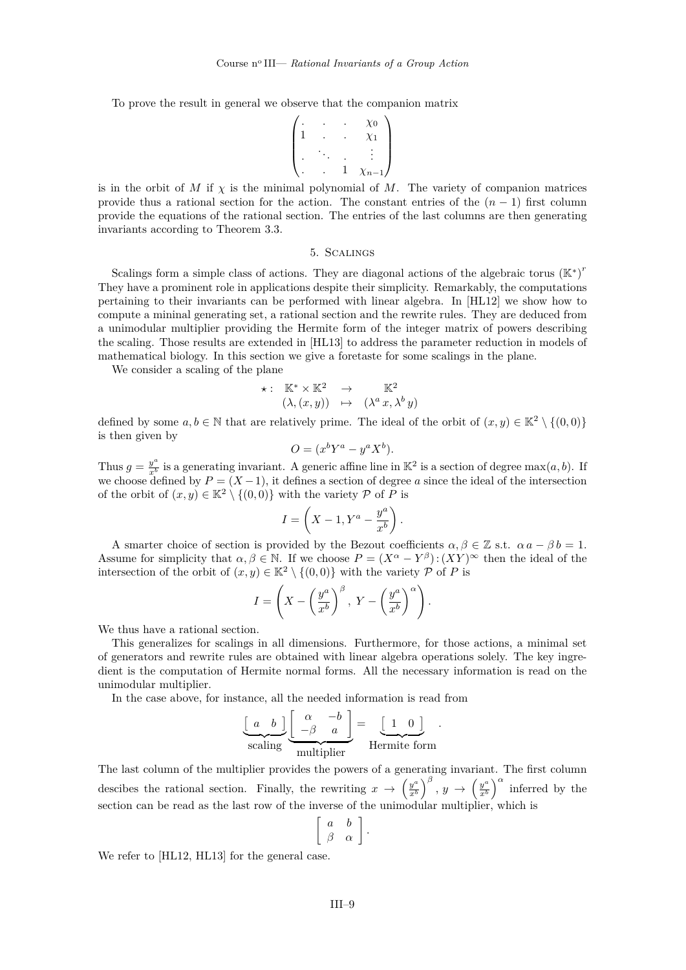To prove the result in general we observe that the companion matrix

$$
\begin{pmatrix}\n\vdots & \cdot & \cdot & \cdot & \times 0 \\
1 & \cdot & \cdot & \cdot & \cdot \\
\cdot & \cdot & \cdot & \cdot & \cdot \\
\cdot & \cdot & \cdot & 1 & \cdot \times n-1\n\end{pmatrix}
$$

is in the orbit of  $M$  if  $\chi$  is the minimal polynomial of  $M$ . The variety of companion matrices provide thus a rational section for the action. The constant entries of the  $(n-1)$  first column provide the equations of the rational section. The entries of the last columns are then generating invariants according to Theorem [3.3.](#page-6-0)

### 5. Scalings

Scalings form a simple class of actions. They are diagonal actions of the algebraic torus  $(\mathbb{K}^*)^r$ They have a prominent role in applications despite their simplicity. Remarkably, the computations pertaining to their invariants can be performed with linear algebra. In [\[HL12\]](#page-10-0) we show how to compute a mininal generating set, a rational section and the rewrite rules. They are deduced from a unimodular multiplier providing the Hermite form of the integer matrix of powers describing the scaling. Those results are extended in [\[HL13\]](#page-10-0) to address the parameter reduction in models of mathematical biology. In this section we give a foretaste for some scalings in the plane.

We consider a scaling of the plane

$$
\star: \quad \mathbb{K}^* \times \mathbb{K}^2 \quad \to \quad \mathbb{K}^2 \n(\lambda, (x, y)) \quad \mapsto \quad (\lambda^a \, x, \lambda^b \, y)
$$

defined by some  $a, b \in \mathbb{N}$  that are relatively prime. The ideal of the orbit of  $(x, y) \in \mathbb{K}^2 \setminus \{(0, 0)\}\$ is then given by

$$
O = (x^b Y^a - y^a X^b).
$$

Thus  $g = \frac{y^a}{x^b}$  is a generating invariant. A generic affine line in K<sup>2</sup> is a section of degree max(*a, b*). If we choose defined by  $P = (X - 1)$ , it defines a section of degree a since the ideal of the intersection of the orbit of  $(x, y) \in \mathbb{K}^2 \setminus \{(0, 0)\}\$  with the variety P of P is

$$
I = \left(X - 1, Y^a - \frac{y^a}{x^b}\right).
$$

A smarter choice of section is provided by the Bezout coefficients  $\alpha, \beta \in \mathbb{Z}$  s.t.  $\alpha a - \beta b = 1$ . Assume for simplicity that  $\alpha, \beta \in \mathbb{N}$ . If we choose  $P = (X^{\alpha} - Y^{\beta}) : (XY)^{\infty}$  then the ideal of the intersection of the orbit of  $(x, y) \in \mathbb{K}^2 \setminus \{(0, 0)\}\$  with the variety  $P$  of P is

$$
I = \left(X - \left(\frac{y^a}{x^b}\right)^{\beta}, Y - \left(\frac{y^a}{x^b}\right)^{\alpha}\right).
$$

We thus have a rational section.

This generalizes for scalings in all dimensions. Furthermore, for those actions, a minimal set of generators and rewrite rules are obtained with linear algebra operations solely. The key ingredient is the computation of Hermite normal forms. All the necessary information is read on the unimodular multiplier.

In the case above, for instance, all the needed information is read from

$$
\underbrace{\begin{bmatrix} a & b \end{bmatrix}}_{\text{scaling}} \underbrace{\begin{bmatrix} \alpha & -b \\ -\beta & a \end{bmatrix}}_{\text{multiplier}} = \underbrace{\begin{bmatrix} 1 & 0 \end{bmatrix}}_{\text{Hermite form}}.
$$

The last column of the multiplier provides the powers of a generating invariant. The first column descibes the rational section. Finally, the rewriting  $x \to \left(\frac{y^a}{x^b}\right)$  $\left(\frac{y^a}{x^b}\right)^{\beta}, y \rightarrow \left(\frac{y^a}{x^b}\right)$  $\left(\frac{y^a}{x^b}\right)^{\alpha}$  inferred by the section can be read as the last row of the inverse of the unimodular multiplier, which is

$$
\left[\begin{array}{cc}a & b \\ \beta & \alpha \end{array}\right].
$$

We refer to [\[HL12,](#page-10-0) [HL13\]](#page-10-0) for the general case.